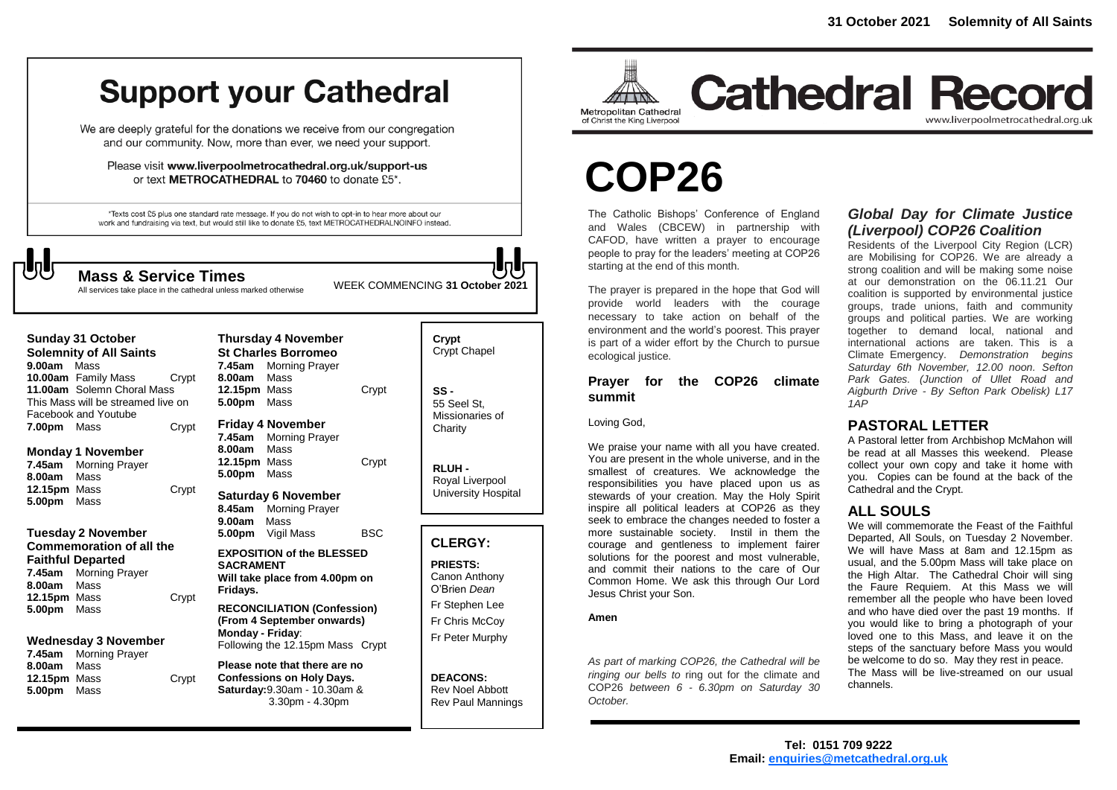## **Support your Cathedral**

We are deeply grateful for the donations we receive from our congregation and our community. Now, more than ever, we need your support.

Please visit www.liverpoolmetrocathedral.org.uk/support-us or text METROCATHEDRAL to 70460 to donate £5\*.

\*Texts cost £5 plus one standard rate message. If you do not wish to opt-in to hear more about our work and fundraising via text, but would still like to donate £5, text METROCATHEDRALNOINFO instead.

WEEK COMMENCING **<sup>31</sup> October <sup>2021</sup> Mass & Service Times**

All services take place in the cathedral unless marked otherwise

| <b>Sunday 31 October</b><br><b>Solemnity of All Saints</b><br>9.00am<br>Mass                                             |       | <b>Thursday 4 November</b><br><b>St Charles Borromeo</b><br>7.45am<br>Morning Prayer                                   |            | Crypt<br>Crypt <sup>(</sup>      |
|--------------------------------------------------------------------------------------------------------------------------|-------|------------------------------------------------------------------------------------------------------------------------|------------|----------------------------------|
| 10.00am Family Mass<br>Crypt<br>11.00am Solemn Choral Mass<br>This Mass will be streamed live on<br>Facebook and Youtube |       | Mass<br>8.00am<br>12.15pm Mass<br>5.00pm<br>Mass                                                                       | Crypt      | $SS -$<br>55 See<br>Missio       |
| 7.00pm Mass                                                                                                              | Crypt | <b>Friday 4 November</b><br>7.45am<br><b>Morning Prayer</b>                                                            |            | Charity                          |
| <b>Monday 1 November</b><br>7.45am<br><b>Morning Prayer</b><br>Mass<br>8.00am                                            |       | 8.00am<br>Mass<br>12.15pm<br>Mass<br>5.00pm<br>Mass                                                                    | Crypt      | <b>RLUH</b><br>Royal             |
| 12.15pm Mass<br>5.00pm<br>Mass                                                                                           | Crypt | <b>Saturday 6 November</b><br>8.45am<br><b>Morning Prayer</b><br>Mass<br>9.00am                                        |            | Univer                           |
| <b>Tuesday 2 November</b>                                                                                                |       | 5.00pm<br>Vigil Mass                                                                                                   | <b>BSC</b> |                                  |
| <b>Commemoration of all the</b>                                                                                          |       | <b>EXPOSITION of the BLESSED</b>                                                                                       |            | <b>CLER</b>                      |
| <b>Faithful Departed</b><br><b>Morning Prayer</b><br>7.45am<br>8.00am<br>Mass<br>12.15pm Mass                            |       | <b>SACRAMENT</b><br>Will take place from 4.00pm on<br>Fridays.<br>Crypt                                                |            | <b>PRIES</b><br>Canon<br>O'Brier |
| 5.00pm<br>Mass                                                                                                           |       | <b>RECONCILIATION (Confession)</b>                                                                                     |            | Fr Step                          |
|                                                                                                                          |       | (From 4 September onwards)<br>Monday - Friday:                                                                         |            | Fr Chri                          |
| <b>Wednesday 3 November</b><br>7.45am<br><b>Morning Prayer</b>                                                           |       | Following the 12.15pm Mass Crypt                                                                                       |            | Fr Pete                          |
| Mass<br>8.00am<br>12.15pm Mass<br>5.00pm<br>Mass                                                                         | Crypt | Please note that there are no<br><b>Confessions on Holy Days.</b><br>Saturday: 9.30am - 10.30am &<br>$3.30pm - 4.30pm$ |            | <b>DEAC</b><br>Rev No<br>Rev Pa  |
|                                                                                                                          |       |                                                                                                                        |            |                                  |

Chapel el St onaries of **Charity** 

**RLUH -** Liverpool rsity Hospital

#### **CLERGY:**

**PRIESTS:** Anthony n *Dean* phen Lee is McCov er Murphy

**ONS:** oel Abbott aul Mannings



**Cathedral Record** www.liverpoolmetrocathedral.org.uk

# **COP26**

The Catholic Bishops' Conference of England and Wales (CBCEW) in partnership with CAFOD, have written a prayer to encourage people to pray for the leaders' meeting at COP26 starting at the end of this month.

The prayer is prepared in the hope that God will provide world leaders with the courage<br>necessary to take action on behalf of the<br>environment and the world's poorest. This prayer necessary to take action on behalf of the environment and the world's poorest. This prayer is part of a wider effort by the Church to pursue ecological justice.

#### **Prayer for the COP26 climate summit**

Loving God,

We praise your name with all you have created. You are present in the whole universe, and in the smallest of creatures. We acknowledge the responsibilities you have placed upon us as stewards of your creation. May the Holy Spirit inspire all political leaders at COP26 as they seek to embrace the changes needed to foster a more sustainable society. Instil in them the courage and gentleness to implement fairer solutions for the poorest and most vulnerable, and commit their nations to the care of Our Common Home. We ask this through Our Lord Jesus Christ your Son.

#### **Amen**

*As part of marking COP26, the Cathedral will be ringing our bells to* ring out for the climate and COP26 *between 6 - 6.30pm on Saturday 30 October.*

#### *Global Day for Climate Justice (Liverpool) COP26 Coalition*

Residents of the Liverpool City Region (LCR) are Mobilising for COP26. We are already a strong coalition and will be making some noise at our demonstration on the 06.11.21 Our coalition is supported by environmental justice groups, trade unions, faith and community groups and political parties. We are working together to demand local, national and international actions are taken. This is a Climate Emergency. *Demonstration begins Saturday 6th November, 12.00 noon. Sefton Park Gates. (Junction of Ullet Road and Aigburth Drive - By Sefton Park Obelisk) L17 1AP*

#### **PASTORAL LETTER**

A Pastoral letter from Archbishop McMahon will be read at all Masses this weekend. Please collect your own copy and take it home with you. Copies can be found at the back of the Cathedral and the Crypt.

#### **ALL SOULS**

We will commemorate the Feast of the Faithful Departed, All Souls, on Tuesday 2 November. We will have Mass at 8am and 12.15pm as usual, and the 5.00pm Mass will take place on the High Altar. The Cathedral Choir will sing the Faure Requiem. At this Mass we will remember all the people who have been loved and who have died over the past 19 months. If you would like to bring a photograph of your loved one to this Mass, and leave it on the steps of the sanctuary before Mass you would be welcome to do so. May they rest in peace. The Mass will be live-streamed on our usual channels.